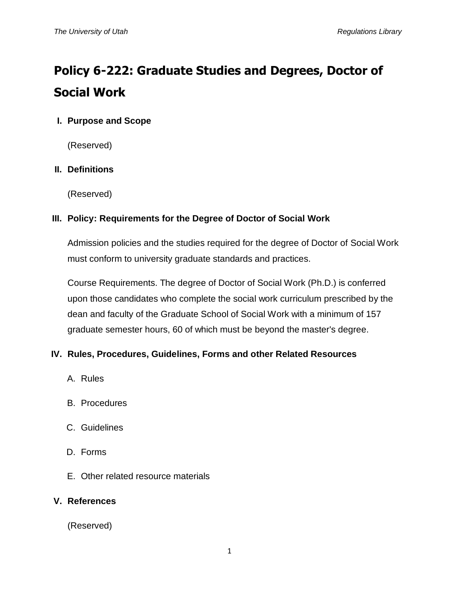# **Policy 6-222: Graduate Studies and Degrees, Doctor of Social Work**

## **I. Purpose and Scope**

(Reserved)

## **II. Definitions**

(Reserved)

## **III. Policy: Requirements for the Degree of Doctor of Social Work**

Admission policies and the studies required for the degree of Doctor of Social Work must conform to university graduate standards and practices.

Course Requirements. The degree of Doctor of Social Work (Ph.D.) is conferred upon those candidates who complete the social work curriculum prescribed by the dean and faculty of the Graduate School of Social Work with a minimum of 157 graduate semester hours, 60 of which must be beyond the master's degree.

## **IV. Rules, Procedures, Guidelines, Forms and other Related Resources**

- A. Rules
- B. Procedures
- C. Guidelines
- D. Forms
- E. Other related resource materials

#### **V. References**

(Reserved)